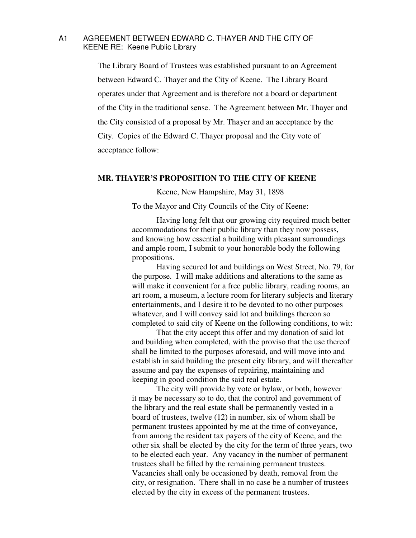## A1 AGREEMENT BETWEEN EDWARD C. THAYER AND THE CITY OF KEENE RE: Keene Public Library

 The Library Board of Trustees was established pursuant to an Agreement between Edward C. Thayer and the City of Keene. The Library Board operates under that Agreement and is therefore not a board or department of the City in the traditional sense. The Agreement between Mr. Thayer and the City consisted of a proposal by Mr. Thayer and an acceptance by the City. Copies of the Edward C. Thayer proposal and the City vote of acceptance follow:

## **MR. THAYER'S PROPOSITION TO THE CITY OF KEENE**

Keene, New Hampshire, May 31, 1898

To the Mayor and City Councils of the City of Keene:

 Having long felt that our growing city required much better accommodations for their public library than they now possess, and knowing how essential a building with pleasant surroundings and ample room, I submit to your honorable body the following propositions.

 Having secured lot and buildings on West Street, No. 79, for the purpose. I will make additions and alterations to the same as will make it convenient for a free public library, reading rooms, an art room, a museum, a lecture room for literary subjects and literary entertainments, and I desire it to be devoted to no other purposes whatever, and I will convey said lot and buildings thereon so completed to said city of Keene on the following conditions, to wit:

 That the city accept this offer and my donation of said lot and building when completed, with the proviso that the use thereof shall be limited to the purposes aforesaid, and will move into and establish in said building the present city library, and will thereafter assume and pay the expenses of repairing, maintaining and keeping in good condition the said real estate.

 The city will provide by vote or bylaw, or both, however it may be necessary so to do, that the control and government of the library and the real estate shall be permanently vested in a board of trustees, twelve (12) in number, six of whom shall be permanent trustees appointed by me at the time of conveyance, from among the resident tax payers of the city of Keene, and the other six shall be elected by the city for the term of three years, two to be elected each year. Any vacancy in the number of permanent trustees shall be filled by the remaining permanent trustees. Vacancies shall only be occasioned by death, removal from the city, or resignation. There shall in no case be a number of trustees elected by the city in excess of the permanent trustees.